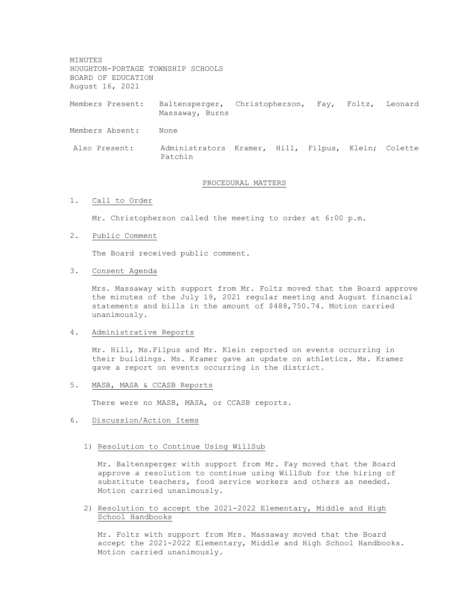MINUTES HOUGHTON-PORTAGE TOWNSHIP SCHOOLS BOARD OF EDUCATION August 16, 2021

Members Present: Baltensperger, Christopherson, Fay, Foltz, Leonard Massaway, Burns

Members Absent: None

Also Present: Administrators Kramer, Hill, Filpus, Klein; Colette Patchin

## PROCEDURAL MATTERS

1. Call to Order

Mr. Christopherson called the meeting to order at 6:00 p.m.

2. Public Comment

The Board received public comment.

3. Consent Agenda

Mrs. Massaway with support from Mr. Foltz moved that the Board approve the minutes of the July 19, 2021 regular meeting and August financial statements and bills in the amount of \$488,750.74. Motion carried unanimously.

4. Administrative Reports

Mr. Hill, Ms.Filpus and Mr. Klein reported on events occurring in their buildings. Ms. Kramer gave an update on athletics. Ms. Kramer gave a report on events occurring in the district.

5. MASB, MASA & CCASB Reports

There were no MASB, MASA, or CCASB reports.

- 6. Discussion/Action Items
	- 1) Resolution to Continue Using WillSub

Mr. Baltensperger with support from Mr. Fay moved that the Board approve a resolution to continue using WillSub for the hiring of substitute teachers, food service workers and others as needed. Motion carried unanimously.

2) Resolution to accept the 2021-2022 Elementary, Middle and High School Handbooks

Mr. Foltz with support from Mrs. Massaway moved that the Board accept the 2021-2022 Elementary, Middle and High School Handbooks. Motion carried unanimously.